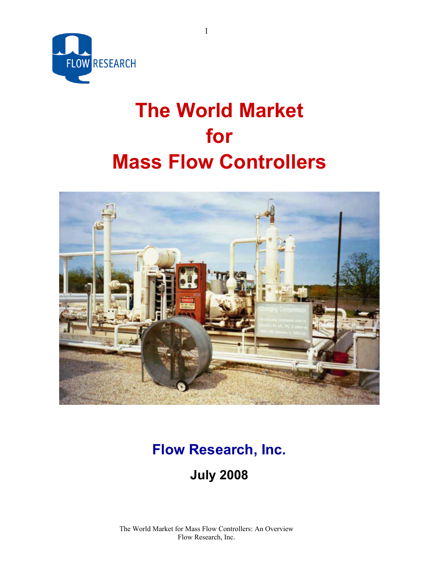

# **The World Market for Mass Flow Controllers**



# **Flow Research, Inc. July 2008**

The World Market for Mass Flow Controllers: An Overview Flow Research, Inc.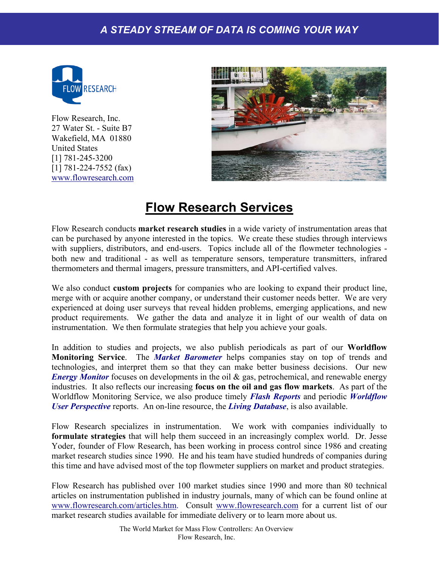

Flow Research, Inc. 27 Water St. - Suite B7 Wakefield, MA 01880 United States [1] 781-245-3200 [1] 781-224-7552 (fax) www.flowresearch.com



# **Flow Research Services**

Flow Research conducts **market research studies** in a wide variety of instrumentation areas that can be purchased by anyone interested in the topics. We create these studies through interviews with suppliers, distributors, and end-users. Topics include all of the flowmeter technologies both new and traditional - as well as temperature sensors, temperature transmitters, infrared thermometers and thermal imagers, pressure transmitters, and API-certified valves.

We also conduct **custom projects** for companies who are looking to expand their product line, merge with or acquire another company, or understand their customer needs better. We are very experienced at doing user surveys that reveal hidden problems, emerging applications, and new product requirements. We gather the data and analyze it in light of our wealth of data on instrumentation. We then formulate strategies that help you achieve your goals.

In addition to studies and projects, we also publish periodicals as part of our **Worldflow Monitoring Service**. The *Market Barometer* helps companies stay on top of trends and technologies, and interpret them so that they can make better business decisions. Our new *Energy Monitor* focuses on developments in the oil & gas, petrochemical, and renewable energy industries. It also reflects our increasing **focus on the oil and gas flow markets**. As part of the Worldflow Monitoring Service, we also produce timely *Flash Reports* and periodic *Worldflow User Perspective* reports. An on-line resource, the *Living Database*, is also available.

Flow Research specializes in instrumentation. We work with companies individually to **formulate strategies** that will help them succeed in an increasingly complex world. Dr. Jesse Yoder, founder of Flow Research, has been working in process control since 1986 and creating market research studies since 1990. He and his team have studied hundreds of companies during this time and have advised most of the top flowmeter suppliers on market and product strategies.

Flow Research has published over 100 market studies since 1990 and more than 80 technical articles on instrumentation published in industry journals, many of which can be found online at www.flowresearch.com/articles.htm. Consult www.flowresearch.com for a current list of our market research studies available for immediate delivery or to learn more about us.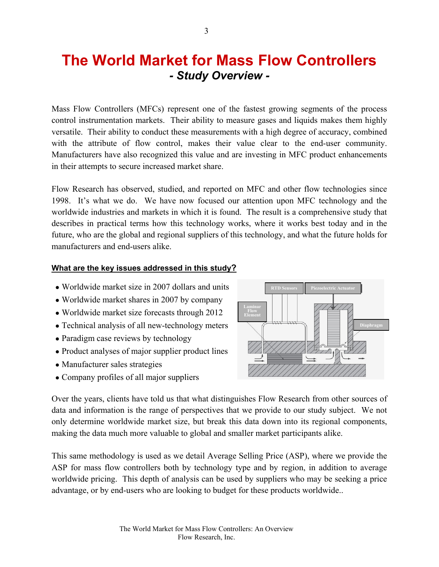# **The World Market for Mass Flow Controllers**  *- Study Overview -*

Mass Flow Controllers (MFCs) represent one of the fastest growing segments of the process control instrumentation markets. Their ability to measure gases and liquids makes them highly versatile. Their ability to conduct these measurements with a high degree of accuracy, combined with the attribute of flow control, makes their value clear to the end-user community. Manufacturers have also recognized this value and are investing in MFC product enhancements in their attempts to secure increased market share.

Flow Research has observed, studied, and reported on MFC and other flow technologies since 1998. It's what we do. We have now focused our attention upon MFC technology and the worldwide industries and markets in which it is found. The result is a comprehensive study that describes in practical terms how this technology works, where it works best today and in the future, who are the global and regional suppliers of this technology, and what the future holds for manufacturers and end-users alike.

#### **What are the key issues addressed in this study?**

- Worldwide market size in 2007 dollars and units
- Worldwide market shares in 2007 by company
- Worldwide market size forecasts through 2012
- Technical analysis of all new-technology meters
- Paradigm case reviews by technology
- Product analyses of major supplier product lines
- Manufacturer sales strategies
- Company profiles of all major suppliers



Over the years, clients have told us that what distinguishes Flow Research from other sources of data and information is the range of perspectives that we provide to our study subject. We not only determine worldwide market size, but break this data down into its regional components, making the data much more valuable to global and smaller market participants alike.

This same methodology is used as we detail Average Selling Price (ASP), where we provide the ASP for mass flow controllers both by technology type and by region, in addition to average worldwide pricing. This depth of analysis can be used by suppliers who may be seeking a price advantage, or by end-users who are looking to budget for these products worldwide..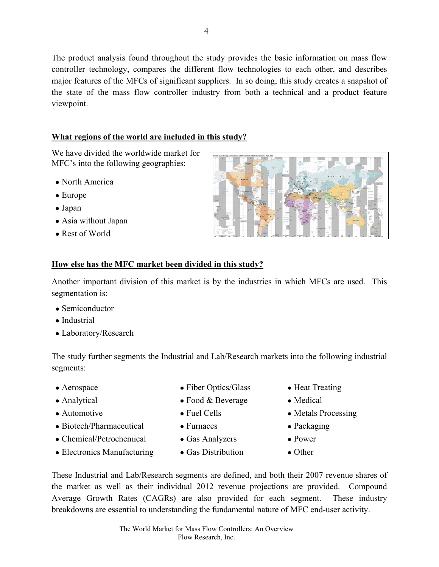The product analysis found throughout the study provides the basic information on mass flow controller technology, compares the different flow technologies to each other, and describes major features of the MFCs of significant suppliers. In so doing, this study creates a snapshot of the state of the mass flow controller industry from both a technical and a product feature viewpoint.

## **What regions of the world are included in this study?**

We have divided the worldwide market for MFC's into the following geographies:

- North America
- Europe
- Japan
- Asia without Japan
- Rest of World



## **How else has the MFC market been divided in this study?**

Another important division of this market is by the industries in which MFCs are used. This segmentation is:

- Semiconductor
- Industrial
- Laboratory/Research

The study further segments the Industrial and Lab/Research markets into the following industrial segments:

- 
- 
- 
- Biotech/Pharmaceutical Furnaces Packaging
- Chemical/Petrochemical Gas Analyzers Power
- Electronics Manufacturing Gas Distribution Other
- Aerospace Fiber Optics/Glass Heat Treating
- Analytical Food & Beverage Medical
	-
	-
	-
	-
- 
- 
- Automotive Fuel Cells Metals Processing
	-
	-
	-

These Industrial and Lab/Research segments are defined, and both their 2007 revenue shares of the market as well as their individual 2012 revenue projections are provided. Compound Average Growth Rates (CAGRs) are also provided for each segment. These industry breakdowns are essential to understanding the fundamental nature of MFC end-user activity.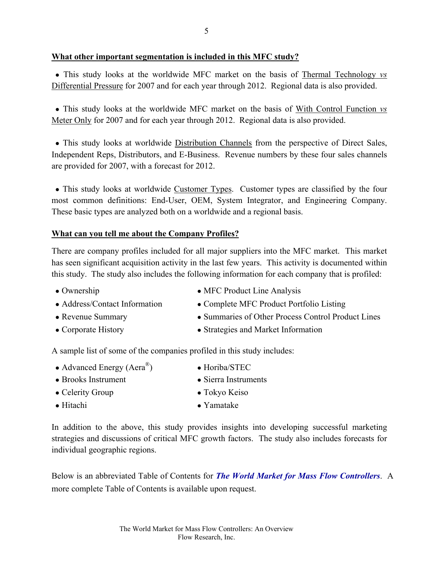### **What other important segmentation is included in this MFC study?**

• This study looks at the worldwide MFC market on the basis of Thermal Technology *vs* Differential Pressure for 2007 and for each year through 2012. Regional data is also provided.

 ● This study looks at the worldwide MFC market on the basis of With Control Function *vs* Meter Only for 2007 and for each year through 2012. Regional data is also provided.

• This study looks at worldwide Distribution Channels from the perspective of Direct Sales, Independent Reps, Distributors, and E-Business. Revenue numbers by these four sales channels are provided for 2007, with a forecast for 2012.

• This study looks at worldwide Customer Types. Customer types are classified by the four most common definitions: End-User, OEM, System Integrator, and Engineering Company. These basic types are analyzed both on a worldwide and a regional basis.

### **What can you tell me about the Company Profiles?**

There are company profiles included for all major suppliers into the MFC market. This market has seen significant acquisition activity in the last few years. This activity is documented within this study. The study also includes the following information for each company that is profiled:

- Ownership MFC Product Line Analysis
- 
- Address/Contact Information Complete MFC Product Portfolio Listing
- Revenue Summary Summaries of Other Process Control Product Lines
- Corporate History Strategies and Market Information

A sample list of some of the companies profiled in this study includes:

- Advanced Energy  $(Aera^{\circledR})$  Horiba/STEC
- Brooks Instrument Sierra Instruments
- Celerity Group Tokyo Keiso
	-
- Hitachi Yamatake

In addition to the above, this study provides insights into developing successful marketing strategies and discussions of critical MFC growth factors. The study also includes forecasts for individual geographic regions.

Below is an abbreviated Table of Contents for *The World Market for Mass Flow Controllers*. A more complete Table of Contents is available upon request.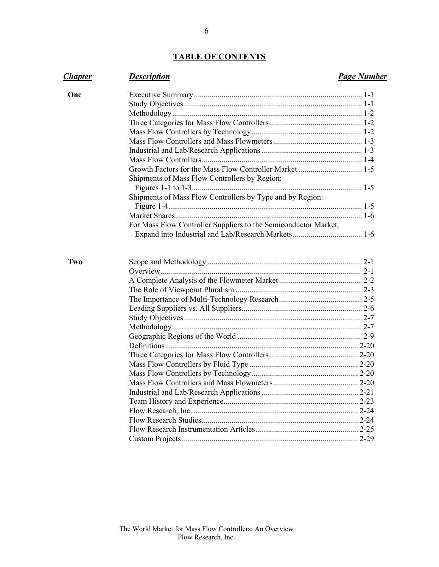## **TABLE OF CONTENTS**

| <b>Chapter</b> | <b>Description</b>                                              | <b>Page Number</b> |
|----------------|-----------------------------------------------------------------|--------------------|
| One            |                                                                 |                    |
|                |                                                                 |                    |
|                |                                                                 |                    |
|                |                                                                 |                    |
|                |                                                                 |                    |
|                |                                                                 |                    |
|                |                                                                 |                    |
|                |                                                                 |                    |
|                |                                                                 |                    |
|                | Shipments of Mass Flow Controllers by Region:                   |                    |
|                |                                                                 |                    |
|                | Shipments of Mass Flow Controllers by Type and by Region:       |                    |
|                |                                                                 |                    |
|                |                                                                 |                    |
|                | For Mass Flow Controller Suppliers to the Semiconductor Market, |                    |
|                |                                                                 |                    |
| Two            |                                                                 |                    |
|                |                                                                 |                    |
|                |                                                                 |                    |
|                |                                                                 |                    |
|                |                                                                 |                    |
|                |                                                                 |                    |
|                |                                                                 |                    |
|                |                                                                 |                    |
|                |                                                                 |                    |
|                |                                                                 |                    |
|                |                                                                 |                    |
|                |                                                                 |                    |
|                |                                                                 |                    |
|                |                                                                 |                    |
|                |                                                                 |                    |
|                |                                                                 |                    |
|                |                                                                 |                    |
|                |                                                                 |                    |
|                |                                                                 |                    |
|                |                                                                 |                    |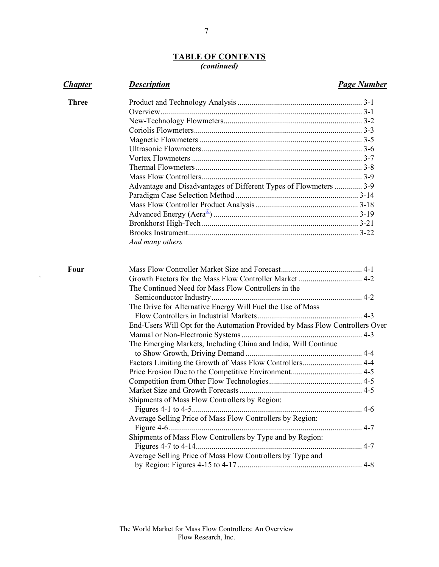#### **TABLE OF CONTENTS** *(continued)*

| <b>Chapter</b> | <b>Description</b>                                                           | <b>Page Number</b> |
|----------------|------------------------------------------------------------------------------|--------------------|
| <b>Three</b>   |                                                                              |                    |
|                |                                                                              |                    |
|                |                                                                              |                    |
|                |                                                                              |                    |
|                |                                                                              |                    |
|                |                                                                              |                    |
|                |                                                                              |                    |
|                |                                                                              |                    |
|                |                                                                              |                    |
|                | Advantage and Disadvantages of Different Types of Flowmeters  3-9            |                    |
|                |                                                                              |                    |
|                |                                                                              |                    |
|                |                                                                              |                    |
|                |                                                                              |                    |
|                |                                                                              |                    |
|                | And many others                                                              |                    |
| Four           |                                                                              |                    |
|                |                                                                              |                    |
|                | The Continued Need for Mass Flow Controllers in the                          |                    |
|                |                                                                              |                    |
|                | The Drive for Alternative Energy Will Fuel the Use of Mass                   |                    |
|                |                                                                              |                    |
|                | End-Users Will Opt for the Automation Provided by Mass Flow Controllers Over |                    |
|                |                                                                              |                    |
|                | The Emerging Markets, Including China and India, Will Continue               |                    |
|                |                                                                              |                    |
|                |                                                                              |                    |
|                |                                                                              |                    |
|                |                                                                              |                    |
|                |                                                                              |                    |
|                | Shipments of Mass Flow Controllers by Region:                                |                    |
|                |                                                                              |                    |
|                | Average Selling Price of Mass Flow Controllers by Region:                    |                    |
|                |                                                                              |                    |
|                | Shipments of Mass Flow Controllers by Type and by Region:                    |                    |
|                |                                                                              |                    |
|                | Average Selling Price of Mass Flow Controllers by Type and                   |                    |
|                |                                                                              |                    |
|                |                                                                              |                    |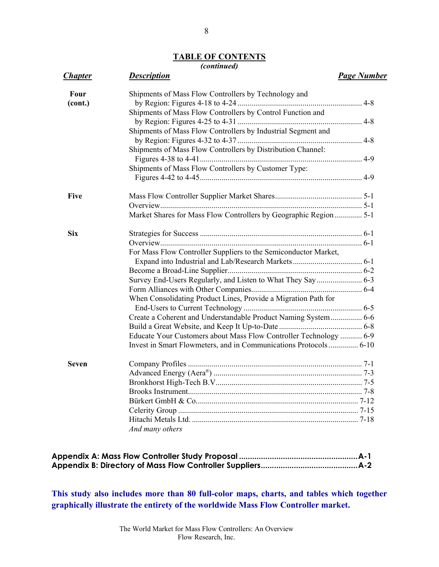# **TABLE OF CONTENTS**

## *(continued)*

| <b>Chapter</b> | <b>Description</b>                                                | <b>Page Number</b> |
|----------------|-------------------------------------------------------------------|--------------------|
| Four           | Shipments of Mass Flow Controllers by Technology and              |                    |
| (cont.)        |                                                                   |                    |
|                | Shipments of Mass Flow Controllers by Control Function and        |                    |
|                |                                                                   |                    |
|                | Shipments of Mass Flow Controllers by Industrial Segment and      |                    |
|                | Shipments of Mass Flow Controllers by Distribution Channel:       |                    |
|                |                                                                   |                    |
|                | Shipments of Mass Flow Controllers by Customer Type:              |                    |
|                |                                                                   |                    |
| <b>Five</b>    |                                                                   |                    |
|                |                                                                   |                    |
|                | Market Shares for Mass Flow Controllers by Geographic Region  5-1 |                    |
| <b>Six</b>     |                                                                   |                    |
|                |                                                                   |                    |
|                | For Mass Flow Controller Suppliers to the Semiconductor Market,   |                    |
|                |                                                                   |                    |
|                |                                                                   |                    |
|                |                                                                   |                    |
|                |                                                                   |                    |
|                | When Consolidating Product Lines, Provide a Migration Path for    |                    |
|                |                                                                   |                    |
|                | Create a Coherent and Understandable Product Naming System 6-6    |                    |
|                |                                                                   |                    |
|                | Educate Your Customers about Mass Flow Controller Technology  6-9 |                    |
|                | Invest in Smart Flowmeters, and in Communications Protocols 6-10  |                    |
| <b>Seven</b>   |                                                                   |                    |
|                |                                                                   |                    |
|                |                                                                   |                    |
|                |                                                                   |                    |
|                |                                                                   |                    |
|                |                                                                   |                    |
|                |                                                                   |                    |
|                | And many others                                                   |                    |
|                |                                                                   |                    |

**This study also includes more than 80 full-color maps, charts, and tables which together graphically illustrate the entirety of the worldwide Mass Flow Controller market.**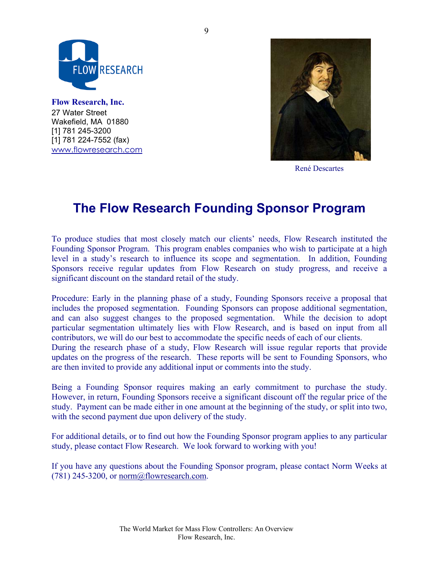

**Flow Research, Inc.** 27 Water Street Wakefield, MA 01880 [1] 781 245-3200 [1] 781 224-7552 (fax) www.flowresearch.com



René Descartes

# **The Flow Research Founding Sponsor Program**

To produce studies that most closely match our clients' needs, Flow Research instituted the Founding Sponsor Program. This program enables companies who wish to participate at a high level in a study's research to influence its scope and segmentation. In addition, Founding Sponsors receive regular updates from Flow Research on study progress, and receive a significant discount on the standard retail of the study.

Procedure: Early in the planning phase of a study, Founding Sponsors receive a proposal that includes the proposed segmentation. Founding Sponsors can propose additional segmentation, and can also suggest changes to the proposed segmentation. While the decision to adopt particular segmentation ultimately lies with Flow Research, and is based on input from all contributors, we will do our best to accommodate the specific needs of each of our clients.

During the research phase of a study, Flow Research will issue regular reports that provide updates on the progress of the research. These reports will be sent to Founding Sponsors, who are then invited to provide any additional input or comments into the study.

Being a Founding Sponsor requires making an early commitment to purchase the study. However, in return, Founding Sponsors receive a significant discount off the regular price of the study. Payment can be made either in one amount at the beginning of the study, or split into two, with the second payment due upon delivery of the study.

For additional details, or to find out how the Founding Sponsor program applies to any particular study, please contact Flow Research. We look forward to working with you!

If you have any questions about the Founding Sponsor program, please contact Norm Weeks at  $(781)$  245-3200, or norm $@$ flowresearch.com.